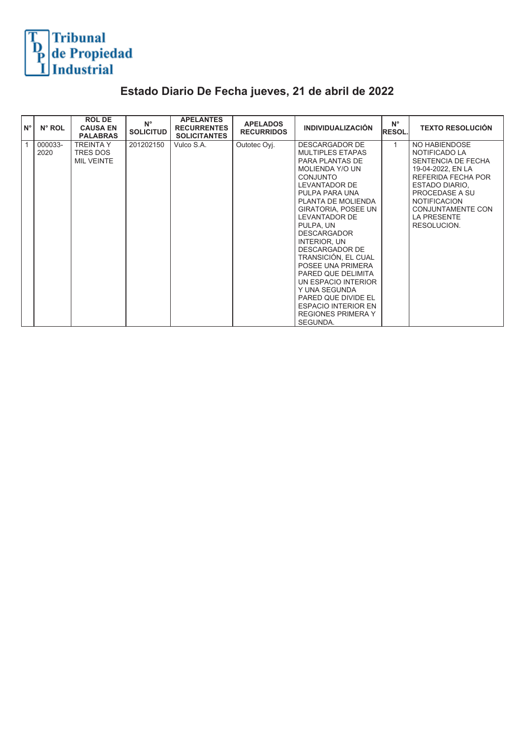

## **Estado Diario De Fecha jueves, 21 de abril de 2022**

| $N^{\circ}$ | N° ROL          | <b>ROL DE</b><br><b>CAUSA EN</b><br><b>PALABRAS</b> | $N^{\circ}$<br><b>SOLICITUD</b> | <b>APELANTES</b><br><b>RECURRENTES</b><br><b>SOLICITANTES</b> | <b>APELADOS</b><br><b>RECURRIDOS</b> | <b>INDIVIDUALIZACIÓN</b>                                                                                                                                                                                                                                                                                                                                                                                                                                                                              | $N^{\circ}$<br><b>RESOL.</b> | <b>TEXTO RESOLUCIÓN</b>                                                                                                                                                                                              |
|-------------|-----------------|-----------------------------------------------------|---------------------------------|---------------------------------------------------------------|--------------------------------------|-------------------------------------------------------------------------------------------------------------------------------------------------------------------------------------------------------------------------------------------------------------------------------------------------------------------------------------------------------------------------------------------------------------------------------------------------------------------------------------------------------|------------------------------|----------------------------------------------------------------------------------------------------------------------------------------------------------------------------------------------------------------------|
| 1           | 000033-<br>2020 | TREINTA Y<br>TRES DOS<br><b>MIL VEINTE</b>          | 201202150                       | Vulco S.A.                                                    | Outotec Oyj.                         | <b>DESCARGADOR DE</b><br><b>MULTIPLES ETAPAS</b><br>PARA PLANTAS DE<br>MOLIENDA Y/O UN<br><b>CONJUNTO</b><br>LEVANTADOR DE<br>PULPA PARA UNA<br>PLANTA DE MOLIENDA<br><b>GIRATORIA, POSEE UN</b><br>LEVANTADOR DE<br>PULPA, UN<br><b>DESCARGADOR</b><br>INTERIOR, UN<br><b>DESCARGADOR DE</b><br>TRANSICIÓN, EL CUAL<br>POSEE UNA PRIMERA<br>PARED QUE DELIMITA<br>UN ESPACIO INTERIOR<br>Y UNA SEGUNDA<br>PARED QUE DIVIDE EL<br><b>ESPACIO INTERIOR EN</b><br><b>REGIONES PRIMERA Y</b><br>SEGUNDA. |                              | NO HABIENDOSE<br>NOTIFICADO LA<br>SENTENCIA DE FECHA<br>19-04-2022, EN LA<br>REFERIDA FECHA POR<br>ESTADO DIARIO,<br>PROCEDASE A SU<br><b>NOTIFICACION</b><br>CONJUNTAMENTE CON<br><b>LA PRESENTE</b><br>RESOLUCION. |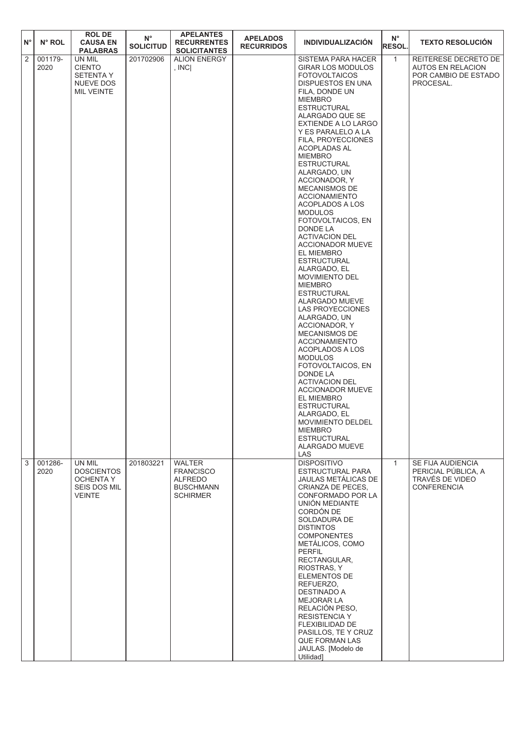| $N^{\circ}$    | N° ROL          | <b>ROL DE</b><br><b>CAUSA EN</b><br><b>PALABRAS</b>                           | $N^{\circ}$<br><b>SOLICITUD</b> | <b>APELANTES</b><br><b>RECURRENTES</b><br><b>SOLICITANTES</b>                              | <b>APELADOS</b><br><b>RECURRIDOS</b> | <b>INDIVIDUALIZACIÓN</b>                                                                                                                                                                                                                                                                                                                                                                                                                                                                                                                                                                                                                                                                                                                                                                                                                                                                                                                                                                                                                     | $N^{\circ}$<br><b>RESOL.</b> | <b>TEXTO RESOLUCIÓN</b>                                                               |
|----------------|-----------------|-------------------------------------------------------------------------------|---------------------------------|--------------------------------------------------------------------------------------------|--------------------------------------|----------------------------------------------------------------------------------------------------------------------------------------------------------------------------------------------------------------------------------------------------------------------------------------------------------------------------------------------------------------------------------------------------------------------------------------------------------------------------------------------------------------------------------------------------------------------------------------------------------------------------------------------------------------------------------------------------------------------------------------------------------------------------------------------------------------------------------------------------------------------------------------------------------------------------------------------------------------------------------------------------------------------------------------------|------------------------------|---------------------------------------------------------------------------------------|
| $\overline{2}$ | 001179-<br>2020 | UN MIL<br><b>CIENTO</b><br><b>SETENTA Y</b><br><b>NUEVE DOS</b><br>MIL VEINTE | 201702906                       | <b>ALION ENERGY</b><br>, $INC$                                                             |                                      | SISTEMA PARA HACER<br><b>GIRAR LOS MODULOS</b><br><b>FOTOVOLTAICOS</b><br>DISPUESTOS EN UNA<br>FILA, DONDE UN<br><b>MIEMBRO</b><br><b>ESTRUCTURAL</b><br>ALARGADO QUE SE<br><b>EXTIENDE A LO LARGO</b><br>Y ES PARALELO A LA<br>FILA, PROYECCIONES<br>ACOPLADAS AL<br><b>MIEMBRO</b><br><b>ESTRUCTURAL</b><br>ALARGADO, UN<br>ACCIONADOR, Y<br>MECANISMOS DE<br><b>ACCIONAMIENTO</b><br><b>ACOPLADOS A LOS</b><br><b>MODULOS</b><br>FOTOVOLTAICOS, EN<br>DONDE LA<br><b>ACTIVACION DEL</b><br><b>ACCIONADOR MUEVE</b><br>EL MIEMBRO<br><b>ESTRUCTURAL</b><br>ALARGADO, EL<br><b>MOVIMIENTO DEL</b><br><b>MIEMBRO</b><br><b>ESTRUCTURAL</b><br>ALARGADO MUEVE<br>LAS PROYECCIONES<br>ALARGADO, UN<br>ACCIONADOR, Y<br><b>MECANISMOS DE</b><br><b>ACCIONAMIENTO</b><br><b>ACOPLADOS A LOS</b><br><b>MODULOS</b><br>FOTOVOLTAICOS, EN<br>DONDE LA<br><b>ACTIVACION DEL</b><br><b>ACCIONADOR MUEVE</b><br>EL MIEMBRO<br><b>ESTRUCTURAL</b><br>ALARGADO, EL<br>MOVIMIENTO DELDEL<br><b>MIEMBRO</b><br><b>ESTRUCTURAL</b><br>ALARGADO MUEVE<br>LAS | $\mathbf{1}$                 | REITERESE DECRETO DE<br><b>AUTOS EN RELACION</b><br>POR CAMBIO DE ESTADO<br>PROCESAL. |
| 3              | 001286-<br>2020 | UN MIL<br><b>DOSCIENTOS</b><br>OCHENTA Y<br>SEIS DOS MIL<br><b>VEINTE</b>     | 201803221                       | <b>WALTER</b><br><b>FRANCISCO</b><br><b>ALFREDO</b><br><b>BUSCHMANN</b><br><b>SCHIRMER</b> |                                      | <b>DISPOSITIVO</b><br>ESTRUCTURAL PARA<br>JAULAS METÁLICAS DE<br>CRIANZA DE PECES,<br>CONFORMADO POR LA<br>UNIÓN MEDIANTE<br>CORDÓN DE<br>SOLDADURA DE<br><b>DISTINTOS</b><br><b>COMPONENTES</b><br>METÁLICOS, COMO<br>PERFIL<br>RECTANGULAR,<br>RIOSTRAS, Y<br>ELEMENTOS DE<br>REFUERZO.<br>DESTINADO A<br>MEJORAR LA<br>RELACIÓN PESO,<br><b>RESISTENCIA Y</b><br>FLEXIBILIDAD DE<br>PASILLOS, TE Y CRUZ<br><b>QUE FORMAN LAS</b><br>JAULAS. [Modelo de<br>Utilidad]                                                                                                                                                                                                                                                                                                                                                                                                                                                                                                                                                                       | $\mathbf{1}$                 | SE FIJA AUDIENCIA<br>PERICIAL PÚBLICA, A<br>TRAVÉS DE VIDEO<br><b>CONFERENCIA</b>     |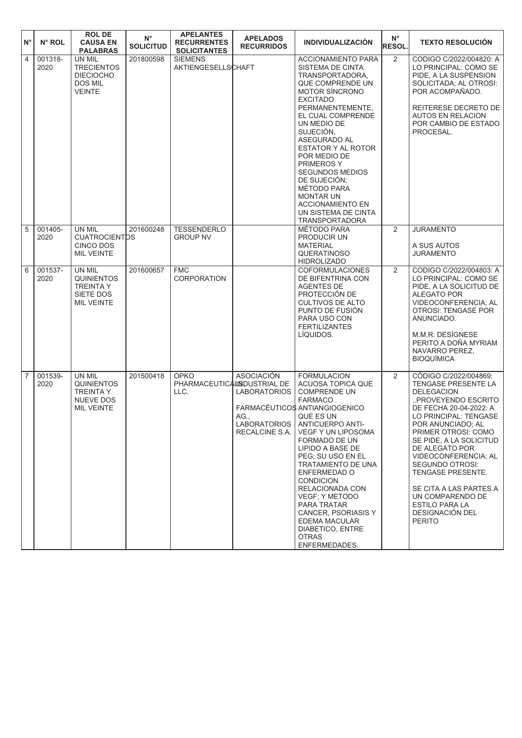| $N^{\circ}$    | N° ROL          | <b>ROL DE</b><br><b>CAUSA EN</b><br><b>PALABRAS</b>                                      | $N^{\circ}$<br><b>SOLICITUD</b> | <b>APELANTES</b><br><b>RECURRENTES</b><br><b>SOLICITANTES</b> | <b>APELADOS</b><br><b>RECURRIDOS</b>                                                      | <b>INDIVIDUALIZACIÓN</b>                                                                                                                                                                                                                                                                                                                                                                                                                                           | $N^{\circ}$<br><b>RESOL.</b> | <b>TEXTO RESOLUCIÓN</b>                                                                                                                                                                                                                                                                                                                                                                                                      |
|----------------|-----------------|------------------------------------------------------------------------------------------|---------------------------------|---------------------------------------------------------------|-------------------------------------------------------------------------------------------|--------------------------------------------------------------------------------------------------------------------------------------------------------------------------------------------------------------------------------------------------------------------------------------------------------------------------------------------------------------------------------------------------------------------------------------------------------------------|------------------------------|------------------------------------------------------------------------------------------------------------------------------------------------------------------------------------------------------------------------------------------------------------------------------------------------------------------------------------------------------------------------------------------------------------------------------|
| $\overline{4}$ | 001318-<br>2020 | UN MIL<br><b>TRECIENTOS</b><br><b>DIECIOCHO</b><br><b>DOS MIL</b><br><b>VEINTE</b>       | 201800598                       | <b>SIEMENS</b><br><b>AKTIENGESELLSCHAFT</b>                   |                                                                                           | <b>ACCIONAMIENTO PARA</b><br>SISTEMA DE CINTA<br>TRANSPORTADORA.<br>QUE COMPRENDE UN<br><b>MOTOR SÍNCRONO</b><br><b>EXCITADO</b><br>PERMANENTEMENTE,<br>EL CUAL COMPRENDE<br>UN MEDIO DE<br>SUJECIÓN,<br>ASEGURADO AL<br>ESTATOR Y AL ROTOR<br>POR MEDIO DE<br><b>PRIMEROS Y</b><br><b>SEGUNDOS MEDIOS</b><br>DE SUJECIÓN;<br>MÉTODO PARA<br><b>MONTAR UN</b><br><b>ACCIONAMIENTO EN</b><br>UN SISTEMA DE CINTA<br><b>TRANSPORTADORA</b>                           | $\overline{2}$               | CODIGO C/2022/004820: A<br>LO PRINCIPAL: COMO SE<br>PIDE. A LA SUSPENSION<br>SOLICITADA; AL OTROSI:<br>POR ACOMPAÑADO.<br>REITERESE DECRETO DE<br><b>AUTOS EN RELACION</b><br>POR CAMBIO DE ESTADO<br>PROCESAL.                                                                                                                                                                                                              |
| $\sqrt{5}$     | 001405-<br>2020 | UN MIL<br><b>CUATROCIENTDS</b><br><b>CINCO DOS</b><br><b>MIL VEINTE</b>                  | 201600248                       | <b>TESSENDERLO</b><br><b>GROUP NV</b>                         |                                                                                           | MÉTODO PARA<br>PRODUCIR UN<br><b>MATERIAL</b><br><b>QUERATINOSO</b><br><b>HIDROLIZADO</b>                                                                                                                                                                                                                                                                                                                                                                          | 2                            | <b>JURAMENTO</b><br>A SUS AUTOS<br><b>JURAMENTO</b>                                                                                                                                                                                                                                                                                                                                                                          |
| 6              | 001537-<br>2020 | <b>UN MIL</b><br><b>QUINIENTOS</b><br><b>TREINTA Y</b><br>SIETE DOS<br><b>MIL VEINTE</b> | 201600657                       | <b>FMC</b><br><b>CORPORATION</b>                              |                                                                                           | <b>COFORMULACIONES</b><br>DE BIFENTRINA CON<br><b>AGENTES DE</b><br>PROTECCIÓN DE<br><b>CULTIVOS DE ALTO</b><br>PUNTO DE FUSIÓN<br>PARA USO CON<br><b>FERTILIZANTES</b><br>LÍQUIDOS.                                                                                                                                                                                                                                                                               | $\overline{2}$               | CODIGO C/2022/004803: A<br>LO PRINCIPAL: COMO SE<br>PIDE, A LA SOLICITUD DE<br><b>ALEGATO POR</b><br>VIDEOCONFERENCIA; AL<br><b>OTROSI: TENGASE POR</b><br>ANUNCIADO.<br>M.M.R. DESÍGNESE<br>PERITO A DOÑA MYRIAM<br>NAVARRO PEREZ.<br><b>BIOQUÍMICA</b>                                                                                                                                                                     |
| $\overline{7}$ | 001539-<br>2020 | UN MIL<br><b>QUINIENTOS</b><br><b>TREINTA Y</b><br>NUEVE DOS<br><b>MIL VEINTE</b>        | 201500418                       | <b>OPKO</b><br>PHARMACEUTICALISDUSTRIAL DE<br>LLC.            | <b>ASOCIACIÓN</b><br><b>LABORATORIOS</b><br>AG.,<br><b>LABORATORIOS</b><br>RECALCINE S.A. | <b>FORMULACION</b><br>ACUOSA TOPICA QUE<br><b>COMPRENDE UN</b><br><b>FARMACO</b><br>FARMACÉUTICOS ANTIANGIOGENICO<br>QUE ES UN<br><b>ANTICUERPO ANTI-</b><br><b>VEGF Y UN LIPOSOMA</b><br>FORMADO DE UN<br>LIPIDO A BASE DE<br>PEG: SU USO EN EL<br>TRATAMIENTO DE UNA<br>ENFERMEDAD O<br><b>CONDICION</b><br>RELACIONADA CON<br>VEGF: Y METODO<br>PARA TRATAR<br><b>CANCER, PSORIASIS Y</b><br>EDEMA MACULAR<br>DIABETICO, ENTRE<br><b>OTRAS</b><br>ENFERMEDADES. | 2                            | CÓDIGO C/2022/004869:<br><b>TENGASE PRESENTE LA</b><br><b>DELEGACION</b><br>PROVEYENDO ESCRITO<br>DE FECHA 20-04-2022: A<br>LO PRINCIPAL: TENGASE<br>POR ANUNCIADO; AL<br>PRIMER OTROSI: COMO<br>SE PIDE, A LA SOLICITUD<br>DE ALEGATO POR<br>VIDEOCONFERENCIA; AL<br><b>SEGUNDO OTROSI:</b><br>TENGASE PRESENTE.<br>SE CITA A LAS PARTES A<br>UN COMPARENDO DE<br>ESTILO PARA LA<br><b>DESIGNACIÓN DEL</b><br><b>PERITO</b> |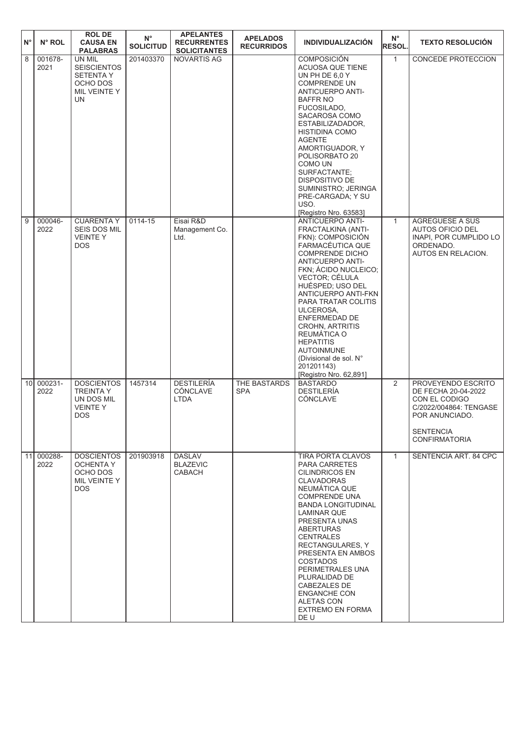| $N^{\circ}$     | N° ROL          | <b>ROL DE</b><br><b>CAUSA EN</b><br><b>PALABRAS</b>                                 | $N^{\circ}$<br><b>SOLICITUD</b> | <b>APELANTES</b><br><b>RECURRENTES</b><br><b>SOLICITANTES</b> | <b>APELADOS</b><br><b>RECURRIDOS</b> | <b>INDIVIDUALIZACIÓN</b>                                                                                                                                                                                                                                                                                                                                                                                                              | $N^{\circ}$<br><b>RESOL.</b> | <b>TEXTO RESOLUCIÓN</b>                                                                                                                            |
|-----------------|-----------------|-------------------------------------------------------------------------------------|---------------------------------|---------------------------------------------------------------|--------------------------------------|---------------------------------------------------------------------------------------------------------------------------------------------------------------------------------------------------------------------------------------------------------------------------------------------------------------------------------------------------------------------------------------------------------------------------------------|------------------------------|----------------------------------------------------------------------------------------------------------------------------------------------------|
| 8               | 001678-<br>2021 | UN MIL<br><b>SEISCIENTOS</b><br><b>SETENTA Y</b><br>OCHO DOS<br>MIL VEINTE Y<br>UN. | 201403370                       | NOVARTIS AG                                                   |                                      | <b>COMPOSICIÓN</b><br>ACUOSA QUE TIENE<br>UN PH DE 6,0 Y<br><b>COMPRENDE UN</b><br><b>ANTICUERPO ANTI-</b><br><b>BAFFR NO</b><br>FUCOSILADO,<br>SACAROSA COMO<br>ESTABILIZADADOR,<br><b>HISTIDINA COMO</b><br><b>AGENTE</b><br>AMORTIGUADOR, Y<br>POLISORBATO 20<br>COMO UN<br>SURFACTANTE:<br><b>DISPOSITIVO DE</b><br>SUMINISTRO; JERINGA<br>PRE-CARGADA; Y SU<br>USO.<br>[Registro Nro. 63583]                                     | $\mathbf{1}$                 | <b>CONCEDE PROTECCION</b>                                                                                                                          |
| 9               | 000046-<br>2022 | <b>CUARENTA Y</b><br>SEIS DOS MIL<br><b>VEINTEY</b><br><b>DOS</b>                   | 0114-15                         | Eisai R&D<br>Management Co.<br>Ltd.                           |                                      | <b>ANTICUERPO ANTI-</b><br>FRACTALKINA (ANTI-<br>FKN): COMPOSICIÓN<br>FARMACÉUTICA QUE<br><b>COMPRENDE DICHO</b><br><b>ANTICUERPO ANTI-</b><br>FKN; ÁCIDO NUCLEICO;<br>VECTOR; CÉLULA<br>HUÉSPED; USO DEL<br>ANTICUERPO ANTI-FKN<br>PARA TRATAR COLITIS<br>ULCEROSA,<br>ENFERMEDAD DE<br>CROHN, ARTRITIS<br>REUMÁTICA O<br><b>HEPATITIS</b><br><b>AUTOINMUNE</b><br>(Divisional de sol. N°<br>201201143)<br>[Registro Nro. 62,891]    | $\mathbf{1}$                 | AGREGUESE A SUS<br><b>AUTOS OFICIO DEL</b><br>INAPI, POR CUMPLIDO LO<br>ORDENADO.<br>AUTOS EN RELACION.                                            |
| 10 <sup>1</sup> | 000231-<br>2022 | <b>DOSCIENTOS</b><br><b>TREINTA Y</b><br>UN DOS MIL<br><b>VEINTEY</b><br><b>DOS</b> | 1457314                         | <b>DESTILERÍA</b><br>CÓNCLAVE<br><b>LTDA</b>                  | THE BASTARDS<br><b>SPA</b>           | <b>BASTARDO</b><br><b>DESTILERÍA</b><br>CÓNCLAVE                                                                                                                                                                                                                                                                                                                                                                                      | $\overline{2}$               | PROVEYENDO ESCRITO<br>DE FECHA 20-04-2022<br>CON EL CODIGO<br>C/2022/004864: TENGASE<br>POR ANUNCIADO.<br><b>SENTENCIA</b><br><b>CONFIRMATORIA</b> |
| 11              | 000288-<br>2022 | <b>DOSCIENTOS</b><br><b>OCHENTA Y</b><br>OCHO DOS<br>MIL VEINTE Y<br><b>DOS</b>     | 201903918                       | <b>DASLAV</b><br><b>BLAZEVIC</b><br><b>CABACH</b>             |                                      | TIRA PORTA CLAVOS<br><b>PARA CARRETES</b><br><b>CILINDRICOS EN</b><br><b>CLAVADORAS</b><br>NEUMÁTICA QUE<br><b>COMPRENDE UNA</b><br><b>BANDA LONGITUDINAL</b><br><b>LAMINAR QUE</b><br>PRESENTA UNAS<br><b>ABERTURAS</b><br><b>CENTRALES</b><br>RECTANGULARES, Y<br>PRESENTA EN AMBOS<br><b>COSTADOS</b><br>PERIMETRALES UNA<br>PLURALIDAD DE<br>CABEZALES DE<br><b>ENGANCHE CON</b><br>ALETAS CON<br><b>EXTREMO EN FORMA</b><br>DE U | $\mathbf{1}$                 | SENTENCIA ART. 84 CPC                                                                                                                              |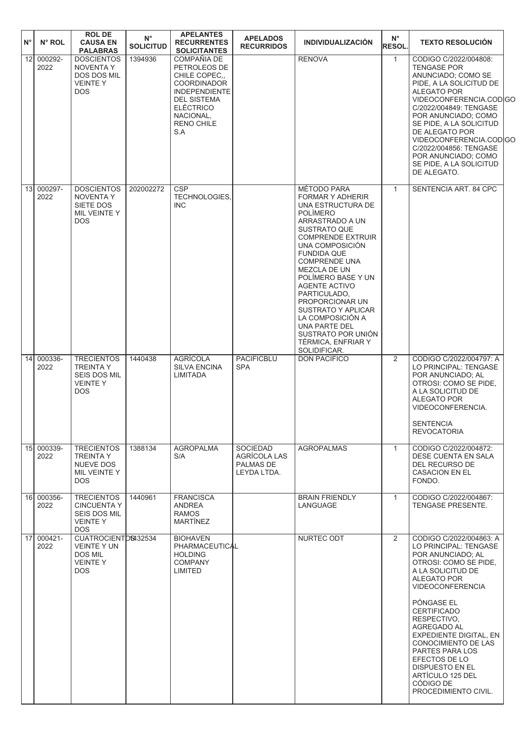| $N^{\circ}$ | $N^{\circ}$ ROL    | <b>ROL DE</b><br><b>CAUSA EN</b><br><b>PALABRAS</b>                                         | $N^{\circ}$<br><b>SOLICITUD</b> | <b>APELANTES</b><br><b>RECURRENTES</b><br><b>SOLICITANTES</b>                                                                                                                | <b>APELADOS</b><br><b>RECURRIDOS</b>                               | <b>INDIVIDUALIZACIÓN</b>                                                                                                                                                                                                                                                                                                                                                                                                                      | $N^{\circ}$<br>RESOL. | <b>TEXTO RESOLUCIÓN</b>                                                                                                                                                                                                                                                                                                                                                                                 |  |
|-------------|--------------------|---------------------------------------------------------------------------------------------|---------------------------------|------------------------------------------------------------------------------------------------------------------------------------------------------------------------------|--------------------------------------------------------------------|-----------------------------------------------------------------------------------------------------------------------------------------------------------------------------------------------------------------------------------------------------------------------------------------------------------------------------------------------------------------------------------------------------------------------------------------------|-----------------------|---------------------------------------------------------------------------------------------------------------------------------------------------------------------------------------------------------------------------------------------------------------------------------------------------------------------------------------------------------------------------------------------------------|--|
| 12          | 000292-<br>2022    | <b>DOSCIENTOS</b><br><b>NOVENTA Y</b><br>DOS DOS MIL<br><b>VEINTEY</b><br><b>DOS</b>        | 1394936                         | COMPAÑIA DE<br>PETROLEOS DE<br>CHILE COPEC,<br><b>COORDINADOR</b><br><b>INDEPENDIENTE</b><br><b>DEL SISTEMA</b><br><b>ELÉCTRICO</b><br>NACIONAL,<br><b>RENO CHILE</b><br>S.A |                                                                    | <b>RENOVA</b>                                                                                                                                                                                                                                                                                                                                                                                                                                 | $\mathbf{1}$          | CODIGO C/2022/004808:<br><b>TENGASE POR</b><br>ANUNCIADO; COMO SE<br>PIDE, A LA SOLICITUD DE<br><b>ALEGATO POR</b><br>VIDEOCONFERENCIA.CODIGC<br>C/2022/004849: TENGASE<br>POR ANUNCIADO; COMO<br>SE PIDE, A LA SOLICITUD<br>DE ALEGATO POR<br>VIDEOCONFERENCIA.CODIGC<br>C/2022/004856: TENGASE<br>POR ANUNCIADO: COMO<br>SE PIDE, A LA SOLICITUD<br>DE ALEGATO.                                       |  |
| 13          | 000297-<br>2022    | <b>DOSCIENTOS</b><br><b>NOVENTA Y</b><br>SIETE DOS<br>MIL VEINTE Y<br><b>DOS</b>            | 202002272                       | <b>CSP</b><br>TECHNOLOGIES,<br><b>INC</b>                                                                                                                                    |                                                                    | MÉTODO PARA<br><b>FORMAR Y ADHERIR</b><br>UNA ESTRUCTURA DE<br><b>POLÍMERO</b><br>ARRASTRADO A UN<br><b>SUSTRATO QUE</b><br><b>COMPRENDE EXTRUIR</b><br>UNA COMPOSICIÓN<br><b>FUNDIDA QUE</b><br><b>COMPRENDE UNA</b><br>MEZCLA DE UN<br>POLÍMERO BASE Y UN<br><b>AGENTE ACTIVO</b><br>PARTICULADO,<br>PROPORCIONAR UN<br>SUSTRATO Y APLICAR<br>LA COMPOSICIÓN A<br>UNA PARTE DEL<br>SUSTRATO POR UNIÓN<br>TÉRMICA, ENFRIAR Y<br>SOLIDIFICAR. | $\mathbf{1}$          | SENTENCIA ART. 84 CPC                                                                                                                                                                                                                                                                                                                                                                                   |  |
| 14          | 000336-<br>2022    | <b>TRECIENTOS</b><br><b>TREINTA Y</b><br>SEIS DOS MIL<br><b>VEINTEY</b><br><b>DOS</b>       | 1440438                         | <b>AGRÍCOLA</b><br><b>SILVA ENCINA</b><br>LIMITADA                                                                                                                           | <b>PACIFICBLU</b><br><b>SPA</b>                                    | <b>DON PACIFICO</b>                                                                                                                                                                                                                                                                                                                                                                                                                           | $\overline{2}$        | CODIGO C/2022/004797: A<br>LO PRINCIPAL: TENGASE<br>POR ANUNCIADO: AL<br>OTROSI: COMO SE PIDE,<br>A LA SOLICITUD DE<br><b>ALEGATO POR</b><br>VIDEOCONFERENCIA.<br><b>SENTENCIA</b><br><b>REVOCATORIA</b>                                                                                                                                                                                                |  |
|             | 15 000339-<br>2022 | <b>TRECIENTOS</b><br><b>TREINTA Y</b><br>NUEVE DOS<br>MIL VEINTE Y<br>DOS.                  | 1388134                         | <b>AGROPALMA</b><br>S/A                                                                                                                                                      | <b>SOCIEDAD</b><br>AGRÍCOLA LAS<br><b>PALMAS DE</b><br>LEYDA LTDA. | <b>AGROPALMAS</b>                                                                                                                                                                                                                                                                                                                                                                                                                             | $\mathbf{1}$          | CODIGO C/2022/004872:<br>DESE CUENTA EN SALA<br>DEL RECURSO DE<br><b>CASACION EN EL</b><br>FONDO.                                                                                                                                                                                                                                                                                                       |  |
|             | 16 000356-<br>2022 | <b>TRECIENTOS</b><br><b>CINCUENTA Y</b><br>SEIS DOS MIL<br><b>VEINTEY</b><br>DOS.           | 1440961                         | <b>FRANCISCA</b><br><b>ANDREA</b><br><b>RAMOS</b><br><b>MARTINEZ</b>                                                                                                         |                                                                    | <b>BRAIN FRIENDLY</b><br>LANGUAGE                                                                                                                                                                                                                                                                                                                                                                                                             | $\mathbf{1}$          | CODIGO C/2022/004867:<br>TENGASE PRESENTE.                                                                                                                                                                                                                                                                                                                                                              |  |
|             | 17 000421-<br>2022 | CUATROCIENTOS432534<br><b>VEINTE Y UN</b><br><b>DOS MIL</b><br><b>VEINTEY</b><br><b>DOS</b> |                                 | <b>BIOHAVEN</b><br>PHARMACEUTICAL<br><b>HOLDING</b><br><b>COMPANY</b><br><b>LIMITED</b>                                                                                      |                                                                    | NURTEC ODT                                                                                                                                                                                                                                                                                                                                                                                                                                    | 2                     | CODIGO C/2022/004863: A<br>LO PRINCIPAL: TENGASE<br>POR ANUNCIADO; AL<br>OTROSI: COMO SE PIDE,<br>A LA SOLICITUD DE<br>ALEGATO POR<br>VIDEOCONFERENCIA<br>PÓNGASE EL<br><b>CERTIFICADO</b><br>RESPECTIVO,<br><b>AGREGADO AL</b><br>EXPEDIENTE DIGITAL, EN<br>CONOCIMIENTO DE LAS<br>PARTES PARA LOS<br>EFECTOS DE LO<br>DISPUESTO EN EL<br><b>ARTÍCULO 125 DEL</b><br>CÓDIGO DE<br>PROCEDIMIENTO CIVIL. |  |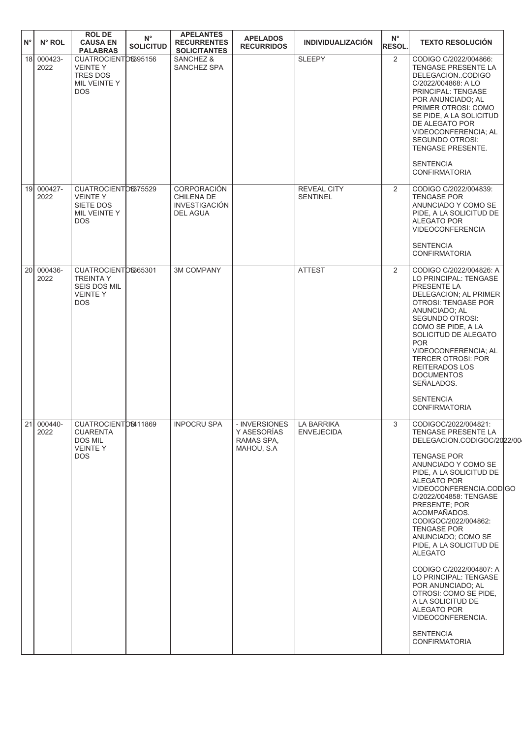| $N^{\circ}$     | N° ROL              | <b>ROLDE</b><br><b>CAUSA EN</b><br><b>PALABRAS</b>                                      | $N^{\circ}$<br><b>SOLICITUD</b> | <b>APELANTES</b><br><b>RECURRENTES</b><br><b>SOLICITANTES</b>        | <b>APELADOS</b><br><b>RECURRIDOS</b>                     | <b>INDIVIDUALIZACIÓN</b>              | $N^{\circ}$<br>RESOL. | <b>TEXTO RESOLUCIÓN</b>                                                                                                                                                                                                                                                                                                                                                                                                                                                                                                                                                               |
|-----------------|---------------------|-----------------------------------------------------------------------------------------|---------------------------------|----------------------------------------------------------------------|----------------------------------------------------------|---------------------------------------|-----------------------|---------------------------------------------------------------------------------------------------------------------------------------------------------------------------------------------------------------------------------------------------------------------------------------------------------------------------------------------------------------------------------------------------------------------------------------------------------------------------------------------------------------------------------------------------------------------------------------|
|                 | 18 000423-<br>2022  | CUATROCIENTOS395156<br><b>VEINTEY</b><br><b>TRES DOS</b><br>MIL VEINTE Y<br><b>DOS</b>  |                                 | SANCHEZ &<br>SANCHEZ SPA                                             |                                                          | <b>SLEEPY</b>                         | 2                     | CODIGO C/2022/004866:<br>TENGASE PRESENTE LA<br>DELEGACIONCODIGO<br>C/2022/004868: A LO<br>PRINCIPAL: TENGASE<br>POR ANUNCIADO; AL<br>PRIMER OTROSI: COMO<br>SE PIDE, A LA SOLICITUD<br>DE ALEGATO POR<br><b>VIDEOCONFERENCIA: AL</b><br><b>SEGUNDO OTROSI:</b><br>TENGASE PRESENTE.<br><b>SENTENCIA</b><br><b>CONFIRMATORIA</b>                                                                                                                                                                                                                                                      |
| 19 <sup>1</sup> | 000427-<br>2022     | CUATROCIENTOS375529<br><b>VEINTEY</b><br>SIETE DOS<br>MIL VEINTE Y<br>DOS.              |                                 | CORPORACIÓN<br>CHILENA DE<br><b>INVESTIGACIÓN</b><br><b>DEL AGUA</b> |                                                          | <b>REVEAL CITY</b><br><b>SENTINEL</b> | 2                     | CODIGO C/2022/004839:<br><b>TENGASE POR</b><br>ANUNCIADO Y COMO SE<br>PIDE, A LA SOLICITUD DE<br>ALEGATO POR<br>VIDEOCONFERENCIA<br><b>SENTENCIA</b><br><b>CONFIRMATORIA</b>                                                                                                                                                                                                                                                                                                                                                                                                          |
|                 | 20 000436-<br>2022  | CUATROCIENTOS865301<br><b>TREINTA Y</b><br>SEIS DOS MIL<br><b>VEINTEY</b><br><b>DOS</b> |                                 | <b>3M COMPANY</b>                                                    |                                                          | <b>ATTEST</b>                         | 2                     | CODIGO C/2022/004826: A<br>LO PRINCIPAL: TENGASE<br>PRESENTE LA<br>DELEGACION; AL PRIMER<br><b>OTROSI: TENGASE POR</b><br>ANUNCIADO; AL<br>SEGUNDO OTROSI:<br>COMO SE PIDE, A LA<br>SOLICITUD DE ALEGATO<br><b>POR</b><br>VIDEOCONFERENCIA; AL<br><b>TERCER OTROSI: POR</b><br>REITERADOS LOS<br><b>DOCUMENTOS</b><br>SEÑALADOS.<br><b>SENTENCIA</b><br><b>CONFIRMATORIA</b>                                                                                                                                                                                                          |
|                 | 21  000440-<br>2022 | CUATROCIENTDS411869<br><b>CUARENTA</b><br><b>DOS MIL</b><br><b>VEINTEY</b><br>DOS.      |                                 | <b>INPOCRU SPA</b>                                                   | - INVERSIONES<br>Y ASESORÍAS<br>RAMAS SPA,<br>MAHOU, S.A | LA BARRIKA<br><b>ENVEJECIDA</b>       | 3                     | CODIGOC/2022/004821:<br>TENGASE PRESENTE LA<br>DELEGACION.CODIGOC/2022/00<br><b>TENGASE POR</b><br>ANUNCIADO Y COMO SE<br>PIDE, A LA SOLICITUD DE<br><b>ALEGATO POR</b><br>VIDEOCONFERENCIA.CODIGO<br>C/2022/004858: TENGASE<br>PRESENTE; POR<br>ACOMPAÑADOS.<br>CODIGOC/2022/004862:<br><b>TENGASE POR</b><br>ANUNCIADO; COMO SE<br>PIDE, A LA SOLICITUD DE<br><b>ALEGATO</b><br>CODIGO C/2022/004807: A<br>LO PRINCIPAL: TENGASE<br>POR ANUNCIADO; AL<br>OTROSI: COMO SE PIDE,<br>A LA SOLICITUD DE<br>ALEGATO POR<br>VIDEOCONFERENCIA.<br><b>SENTENCIA</b><br><b>CONFIRMATORIA</b> |